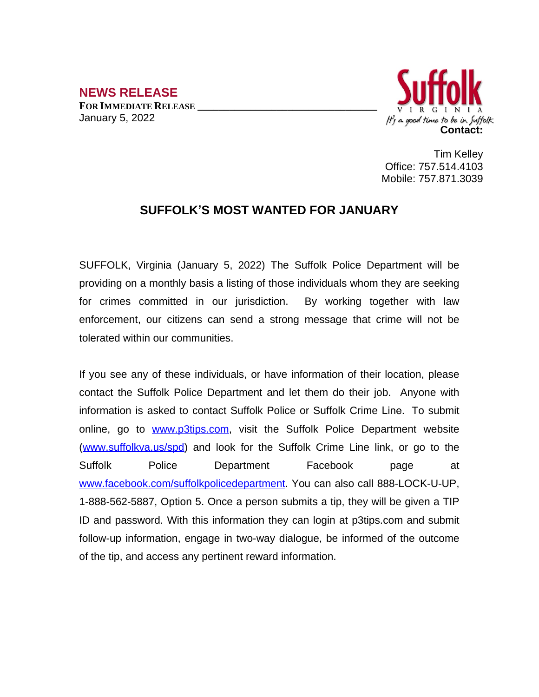**NEWS RELEASE FOR IMMEDIATE RELEASE \_\_\_\_\_\_\_\_\_\_\_\_\_\_\_\_\_\_\_\_\_\_\_\_\_\_\_\_\_\_\_\_\_\_** January 5, 2022



Tim Kelley Office: 757.514.4103 Mobile: 757.871.3039

## **SUFFOLK'S MOST WANTED FOR JANUARY**

SUFFOLK, Virginia (January 5, 2022) The Suffolk Police Department will be providing on a monthly basis a listing of those individuals whom they are seeking for crimes committed in our jurisdiction. By working together with law enforcement, our citizens can send a strong message that crime will not be tolerated within our communities.

If you see any of these individuals, or have information of their location, please contact the Suffolk Police Department and let them do their job. Anyone with information is asked to contact Suffolk Police or Suffolk Crime Line. To submit online, go to [www.p3tips.com](http://www.p3tips.com), visit the Suffolk Police Department website ([www.suffolkva.us/spd](http://www.suffolkva.us/spd)) and look for the Suffolk Crime Line link, or go to the Suffolk Police Department Facebook page at [www.facebook.com/suffolkpolicedepartment](http://www.facebook.com/suffolkpolicedepartment). You can also call 888-LOCK-U-UP, 1-888-562-5887, Option 5. Once a person submits a tip, they will be given a TIP ID and password. With this information they can login at p3tips.com and submit follow-up information, engage in two-way dialogue, be informed of the outcome of the tip, and access any pertinent reward information.